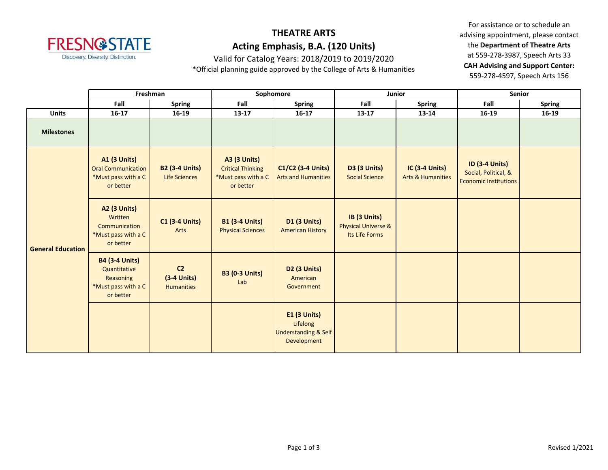

Valid for Catalog Years: 2018/2019 to 2019/2020

\*Official planning guide approved by the College of Arts & Humanities

|                          |                                                                                        | Freshman                                             |                                                                                     | Sophomore                                                                         | Junior                                                           |                                                       |                                                                               | Senior        |
|--------------------------|----------------------------------------------------------------------------------------|------------------------------------------------------|-------------------------------------------------------------------------------------|-----------------------------------------------------------------------------------|------------------------------------------------------------------|-------------------------------------------------------|-------------------------------------------------------------------------------|---------------|
|                          | Fall                                                                                   | <b>Spring</b>                                        | Fall                                                                                | <b>Spring</b>                                                                     | Fall                                                             | <b>Spring</b>                                         | Fall                                                                          | <b>Spring</b> |
| <b>Units</b>             | $16 - 17$                                                                              | 16-19                                                | 13-17                                                                               | $16 - 17$                                                                         | $13 - 17$                                                        | 13-14                                                 | 16-19                                                                         | $16 - 19$     |
| <b>Milestones</b>        |                                                                                        |                                                      |                                                                                     |                                                                                   |                                                                  |                                                       |                                                                               |               |
| <b>General Education</b> | <b>A1 (3 Units)</b><br><b>Oral Communication</b><br>*Must pass with a C<br>or better   | <b>B2 (3-4 Units)</b><br><b>Life Sciences</b>        | <b>A3 (3 Units)</b><br><b>Critical Thinking</b><br>*Must pass with a C<br>or better | C1/C2 (3-4 Units)<br><b>Arts and Humanities</b>                                   | <b>D3 (3 Units)</b><br><b>Social Science</b>                     | <b>IC (3-4 Units)</b><br><b>Arts &amp; Humanities</b> | <b>ID (3-4 Units)</b><br>Social, Political, &<br><b>Economic Institutions</b> |               |
|                          | <b>A2 (3 Units)</b><br>Written<br>Communication<br>*Must pass with a C<br>or better    | <b>C1 (3-4 Units)</b><br>Arts                        | <b>B1 (3-4 Units)</b><br><b>Physical Sciences</b>                                   | <b>D1 (3 Units)</b><br><b>American History</b>                                    | IB (3 Units)<br><b>Physical Universe &amp;</b><br>Its Life Forms |                                                       |                                                                               |               |
|                          | <b>B4 (3-4 Units)</b><br>Quantitative<br>Reasoning<br>*Must pass with a C<br>or better | C <sub>2</sub><br>$(3-4$ Units)<br><b>Humanities</b> | <b>B3 (0-3 Units)</b><br>Lab                                                        | D <sub>2</sub> (3 Units)<br>American<br>Government                                |                                                                  |                                                       |                                                                               |               |
|                          |                                                                                        |                                                      |                                                                                     | <b>E1 (3 Units)</b><br>Lifelong<br><b>Understanding &amp; Self</b><br>Development |                                                                  |                                                       |                                                                               |               |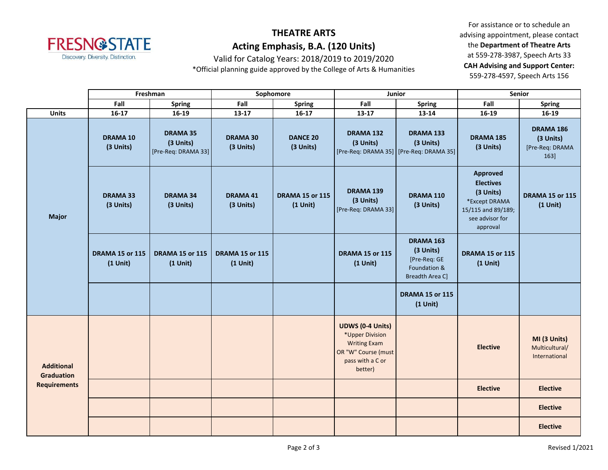

Valid for Catalog Years: 2018/2019 to 2019/2020

\*Official planning guide approved by the College of Arts & Humanities

|                                                                               |                                      | Freshman                                            |                                         | Sophomore                            | Junior                                                                                                                  |                                                                           | <b>Senior</b>                                                                                                          |                                                   |
|-------------------------------------------------------------------------------|--------------------------------------|-----------------------------------------------------|-----------------------------------------|--------------------------------------|-------------------------------------------------------------------------------------------------------------------------|---------------------------------------------------------------------------|------------------------------------------------------------------------------------------------------------------------|---------------------------------------------------|
|                                                                               | Fall                                 | <b>Spring</b>                                       | Fall                                    | <b>Spring</b>                        | Fall                                                                                                                    | <b>Spring</b>                                                             | Fall                                                                                                                   | <b>Spring</b>                                     |
| <b>Units</b>                                                                  | $16 - 17$                            | 16-19                                               | 13-17                                   | $16 - 17$                            | 13-17                                                                                                                   | 13-14                                                                     | 16-19                                                                                                                  | $16-19$                                           |
| <b>Major</b><br><b>Additional</b><br><b>Graduation</b><br><b>Requirements</b> | DRAMA 10<br>(3 Units)                | <b>DRAMA 35</b><br>(3 Units)<br>[Pre-Req: DRAMA 33] | <b>DRAMA 30</b><br>(3 Units)            | <b>DANCE 20</b><br>(3 Units)         | DRAMA 132<br>(3 Units)                                                                                                  | DRAMA 133<br>(3 Units)<br>[Pre-Req: DRAMA 35] [Pre-Req: DRAMA 35]         | DRAMA 185<br>(3 Units)                                                                                                 | DRAMA 186<br>(3 Units)<br>[Pre-Req: DRAMA<br>163] |
|                                                                               | <b>DRAMA 33</b><br>(3 Units)         | <b>DRAMA 34</b><br>(3 Units)                        | <b>DRAMA 41</b><br>(3 Units)            | <b>DRAMA 15 or 115</b><br>$(1$ Unit) | <b>DRAMA 139</b><br>(3 Units)<br>[Pre-Req: DRAMA 33]                                                                    | DRAMA 110<br>(3 Units)                                                    | <b>Approved</b><br><b>Electives</b><br>(3 Units)<br>*Except DRAMA<br>15/115 and 89/189;<br>see advisor for<br>approval | <b>DRAMA 15 or 115</b><br>$(1$ Unit)              |
|                                                                               | <b>DRAMA 15 or 115</b><br>$(1$ Unit) | <b>DRAMA 15 or 115</b><br>$(1$ Unit)                | <b>DRAMA 15 or 115</b><br>$(1$ Unit $)$ |                                      | <b>DRAMA 15 or 115</b><br>$(1$ Unit)                                                                                    | DRAMA 163<br>(3 Units)<br>[Pre-Req: GE<br>Foundation &<br>Breadth Area C] | <b>DRAMA 15 or 115</b><br>$(1$ Unit)                                                                                   |                                                   |
|                                                                               |                                      |                                                     |                                         |                                      |                                                                                                                         | <b>DRAMA 15 or 115</b><br>$(1$ Unit)                                      |                                                                                                                        |                                                   |
|                                                                               |                                      |                                                     |                                         |                                      | <b>UDWS (0-4 Units)</b><br>*Upper Division<br><b>Writing Exam</b><br>OR "W" Course (must<br>pass with a C or<br>better) |                                                                           | <b>Elective</b>                                                                                                        | MI (3 Units)<br>Multicultural/<br>International   |
|                                                                               |                                      |                                                     |                                         |                                      |                                                                                                                         |                                                                           | <b>Elective</b>                                                                                                        | <b>Elective</b>                                   |
|                                                                               |                                      |                                                     |                                         |                                      |                                                                                                                         |                                                                           |                                                                                                                        | <b>Elective</b>                                   |
|                                                                               |                                      |                                                     |                                         |                                      |                                                                                                                         |                                                                           |                                                                                                                        | <b>Elective</b>                                   |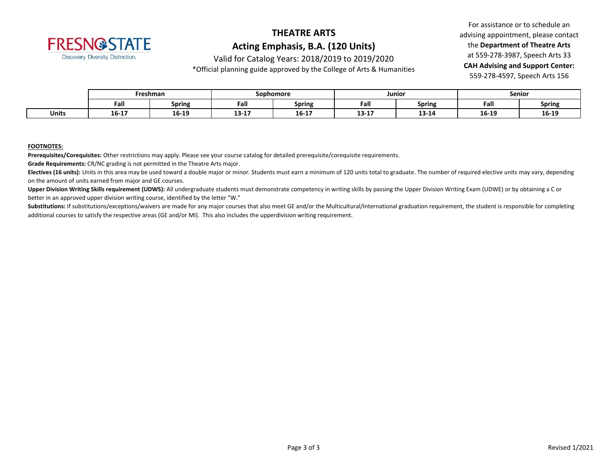

Valid for Catalog Years: 2018/2019 to 2019/2020

\*Official planning guide approved by the College of Arts & Humanities

For assistance or to schedule an advising appointment, please contact the **Department of Theatre Arts** at 559-278-3987, Speech Arts 33 **CAH Advising and Support Center:**  559-278-4597, Speech Arts 156

|              | Freshman |               | Sophomore    |               | Junior         |               | Senior |               |
|--------------|----------|---------------|--------------|---------------|----------------|---------------|--------|---------------|
|              | Fall     | <b>Spring</b> | Fall         | <b>Spring</b> | Fall           | <b>Spring</b> | Fall   | <b>Spring</b> |
| <b>Units</b> | 16-17    | 16-19         | 12.17<br>T2. | .<br>16-17    | 12.17<br>13-TV | 13-14         | 16-19  | 16-19         |

#### **FOOTNOTES:**

**Prerequisites/Corequisites:** Other restrictions may apply. Please see your course catalog for detailed prerequisite/corequisite requirements.

**Grade Requirements:** CR/NC grading is not permitted in the Theatre Arts major.

Electives (16 units): Units in this area may be used toward a double major or minor. Students must earn a minimum of 120 units total to graduate. The number of required elective units may vary, depending on the amount of units earned from major and GE courses.

**Upper Division Writing Skills requirement (UDWS):** All undergraduate students must demonstrate competency in writing skills by passing the Upper Division Writing Exam (UDWE) or by obtaining a C or better in an approved upper division writing course, identified by the letter "W."

Substitutions: If substitutions/exceptions/waivers are made for any major courses that also meet GE and/or the Multicultural/International graduation requirement, the student is responsible for completing additional courses to satisfy the respective areas (GE and/or MI). This also includes the upperdivision writing requirement.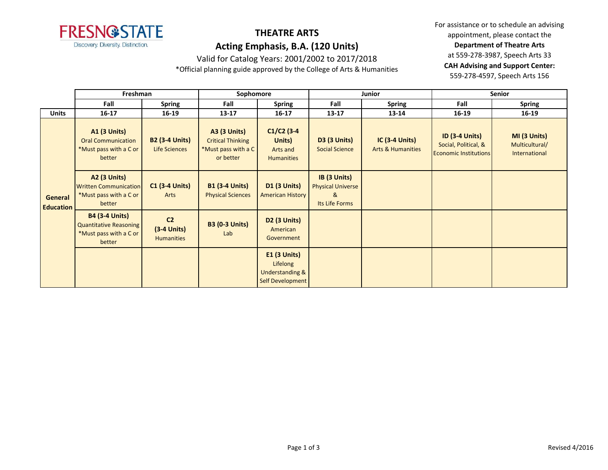

Valid for Catalog Years: 2001/2002 to 2017/2018

\*Official planning guide approved by the College of Arts & Humanities

|                             | Freshman                                                                                   |                                                      | Sophomore                                                                           |                                                                              |                                                                 | <b>Junior</b>                                         | <b>Senior</b>                                                                 |                                                 |
|-----------------------------|--------------------------------------------------------------------------------------------|------------------------------------------------------|-------------------------------------------------------------------------------------|------------------------------------------------------------------------------|-----------------------------------------------------------------|-------------------------------------------------------|-------------------------------------------------------------------------------|-------------------------------------------------|
|                             | Fall                                                                                       | <b>Spring</b>                                        | Fall                                                                                | <b>Spring</b>                                                                | Fall                                                            | <b>Spring</b>                                         | Fall                                                                          | <b>Spring</b>                                   |
| <b>Units</b>                | $16 - 17$                                                                                  | 16-19                                                | $13 - 17$                                                                           | $16 - 17$                                                                    | $13 - 17$                                                       | 13-14                                                 | 16-19                                                                         | $16 - 19$                                       |
| General<br><b>Education</b> | <b>A1 (3 Units)</b><br><b>Oral Communication</b><br>*Must pass with a C or<br>better       | <b>B2 (3-4 Units)</b><br>Life Sciences               | <b>A3 (3 Units)</b><br><b>Critical Thinking</b><br>*Must pass with a C<br>or better | $C1/C2$ (3-4<br>Units)<br>Arts and<br><b>Humanities</b>                      | <b>D3 (3 Units)</b><br><b>Social Science</b>                    | <b>IC (3-4 Units)</b><br><b>Arts &amp; Humanities</b> | <b>ID (3-4 Units)</b><br>Social, Political, &<br><b>Economic Institutions</b> | MI (3 Units)<br>Multicultural/<br>International |
|                             | <b>A2 (3 Units)</b><br><b>Written Communication</b><br>*Must pass with a C or<br>better    | <b>C1 (3-4 Units)</b><br>Arts                        | <b>B1 (3-4 Units)</b><br><b>Physical Sciences</b>                                   | <b>D1 (3 Units)</b><br><b>American History</b>                               | IB (3 Units)<br><b>Physical Universe</b><br>&<br>Its Life Forms |                                                       |                                                                               |                                                 |
|                             | <b>B4 (3-4 Units)</b><br><b>Quantitative Reasoning</b><br>*Must pass with a C or<br>better | C <sub>2</sub><br>$(3-4$ Units)<br><b>Humanities</b> | <b>B3 (0-3 Units)</b><br>Lab                                                        | <b>D2 (3 Units)</b><br>American<br>Government                                |                                                                 |                                                       |                                                                               |                                                 |
|                             |                                                                                            |                                                      |                                                                                     | $E1$ (3 Units)<br>Lifelong<br><b>Understanding &amp;</b><br>Self Development |                                                                 |                                                       |                                                                               |                                                 |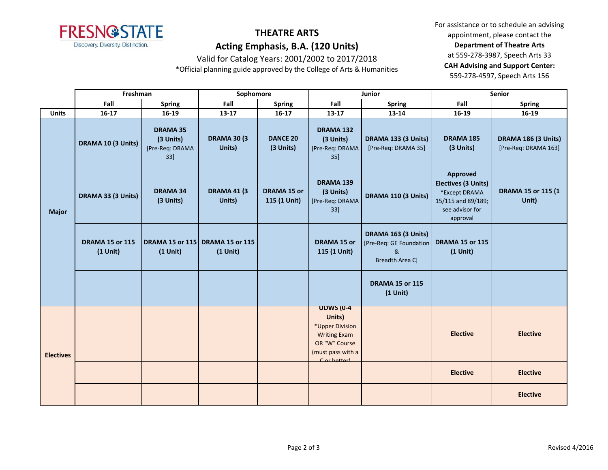

Valid for Catalog Years: 2001/2002 to 2017/2018

\*Official planning guide approved by the College of Arts & Humanities

|                  | Freshman                             |                                                           | Sophomore                     |                                    |                                                                                                                           | Junior                                                                 | Senior                                                                                                       |                                             |
|------------------|--------------------------------------|-----------------------------------------------------------|-------------------------------|------------------------------------|---------------------------------------------------------------------------------------------------------------------------|------------------------------------------------------------------------|--------------------------------------------------------------------------------------------------------------|---------------------------------------------|
|                  | Fall                                 | <b>Spring</b>                                             | Fall                          | <b>Spring</b>                      | Fall                                                                                                                      | Spring                                                                 | Fall                                                                                                         | <b>Spring</b>                               |
| <b>Units</b>     | $16-17$                              | 16-19                                                     | 13-17                         | $16 - 17$                          | $13 - 17$                                                                                                                 | 13-14                                                                  | 16-19                                                                                                        | 16-19                                       |
| <b>Major</b>     | DRAMA 10 (3 Units)                   | <b>DRAMA 35</b><br>(3 Units)<br>[Pre-Req: DRAMA<br>$33$ ] | <b>DRAMA 30 (3)</b><br>Units) | <b>DANCE 20</b><br>(3 Units)       | DRAMA 132<br>(3 Units)<br>[Pre-Req: DRAMA<br>$35$ ]                                                                       | DRAMA 133 (3 Units)<br>[Pre-Req: DRAMA 35]                             | DRAMA 185<br>(3 Units)                                                                                       | DRAMA 186 (3 Units)<br>[Pre-Req: DRAMA 163] |
|                  | DRAMA 33 (3 Units)                   | <b>DRAMA 34</b><br>(3 Units)                              | <b>DRAMA 41 (3)</b><br>Units) | <b>DRAMA 15 or</b><br>115 (1 Unit) | <b>DRAMA 139</b><br>(3 Units)<br>[Pre-Req: DRAMA<br>33]                                                                   | DRAMA 110 (3 Units)                                                    | <b>Approved</b><br>Electives (3 Units)<br>*Except DRAMA<br>15/115 and 89/189;<br>see advisor for<br>approval | DRAMA 15 or 115 (1<br>Unit)                 |
|                  | <b>DRAMA 15 or 115</b><br>$(1$ Unit) | <b>DRAMA 15 or 115 DRAMA 15 or 115</b><br>$(1$ Unit)      | $(1$ Unit)                    |                                    | <b>DRAMA 15 or</b><br>115 (1 Unit)                                                                                        | DRAMA 163 (3 Units)<br>[Pre-Req: GE Foundation<br>&<br>Breadth Area C] | <b>DRAMA 15 or 115</b><br>$(1$ Unit)                                                                         |                                             |
|                  |                                      |                                                           |                               |                                    |                                                                                                                           | <b>DRAMA 15 or 115</b><br>$(1$ Unit)                                   |                                                                                                              |                                             |
| <b>Electives</b> |                                      |                                                           |                               |                                    | <b>UDWS (0-4</b><br>Units)<br>*Upper Division<br><b>Writing Exam</b><br>OR "W" Course<br>(must pass with a<br>Cor hetter) |                                                                        | <b>Elective</b>                                                                                              | <b>Elective</b>                             |
|                  |                                      |                                                           |                               |                                    |                                                                                                                           |                                                                        | <b>Elective</b>                                                                                              | <b>Elective</b>                             |
|                  |                                      |                                                           |                               |                                    |                                                                                                                           |                                                                        |                                                                                                              | <b>Elective</b>                             |